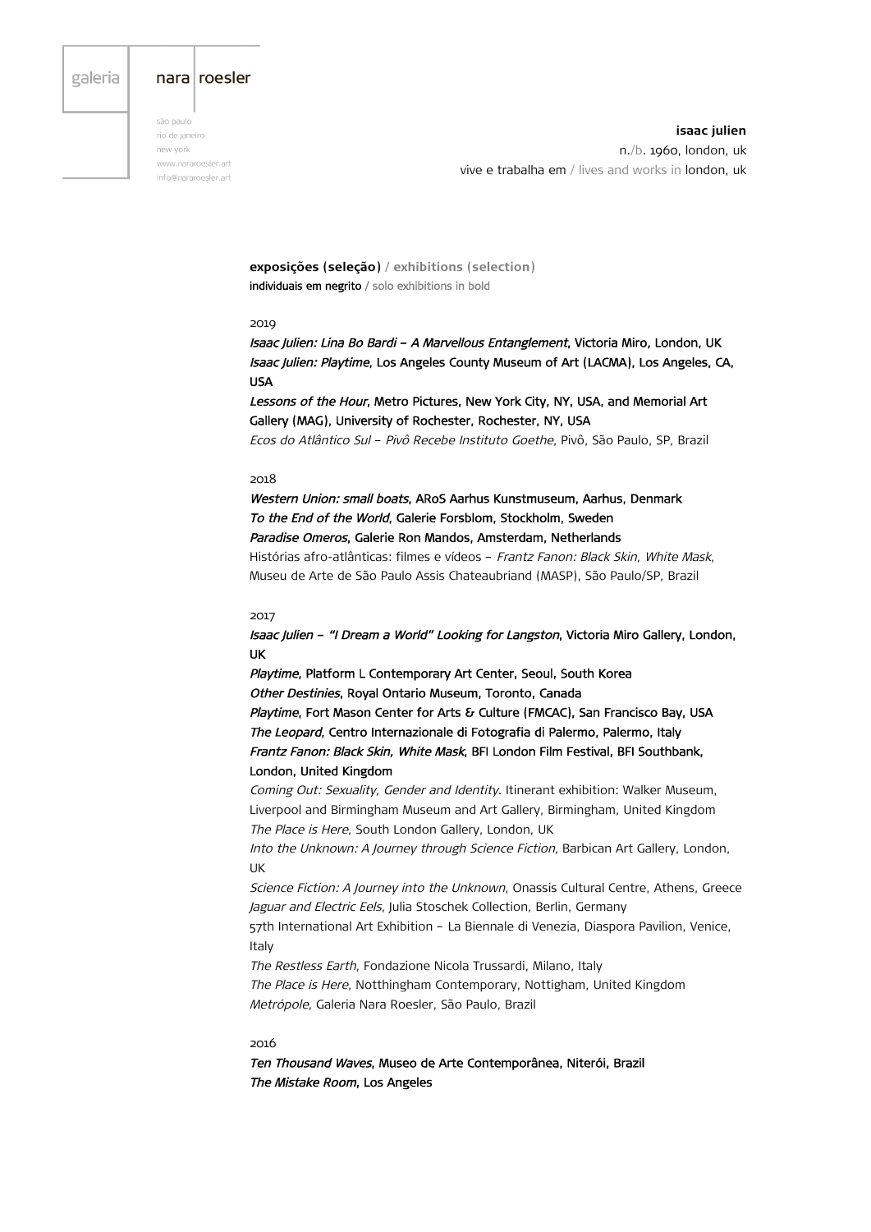# galeria

## nara roesler

são paulo rio de janeiro new vork www.nararoesler.art info@nararoesler.art

**isaac julien** n./b. 1960, london, uk vive e trabalha em / lives and works in london, uk

**exposições (seleção) / exhibitions (selection)** individuais em negrito / solo exhibitions in bold

#### 2019

Isaac Julien: Lina Bo Bardi – A Marvellous Entanglement, Victoria Miro, London, UK Isaac Julien: Playtime, Los Angeles County Museum of Art (LACMA), Los Angeles, CA, USA

Lessons of the Hour, Metro Pictures, New York City, NY, USA, and Memorial Art Gallery (MAG), University of Rochester, Rochester, NY, USA

Ecos do Atlântico Sul – Pivô Recebe Instituto Goethe, Pivô, São Paulo, SP, Brazil

#### 2018

Western Union: small boats, ARoS Aarhus Kunstmuseum, Aarhus, Denmark To the End of the World, Galerie Forsblom, Stockholm, Sweden Paradise Omeros, Galerie Ron Mandos, Amsterdam, Netherlands Histórias afro-atlânticas: filmes e vídeos – Frantz Fanon: Black Skin, White Mask,

Museu de Arte de São Paulo Assis Chateaubriand (MASP), São Paulo/SP, Brazil

# 2017

Isaac Julien – "I Dream a World" Looking for Langston, Victoria Miro Gallery, London, UK

Playtime, Platform L Contemporary Art Center, Seoul, South Korea Other Destinies, Royal Ontario Museum, Toronto, Canada

Playtime, Fort Mason Center for Arts & Culture (FMCAC), San Francisco Bay, USA The Leopard, Centro Internazionale di Fotografia di Palermo, Palermo, Italy Frantz Fanon: Black Skin, White Mask, BFI London Film Festival, BFI Southbank, London, United Kingdom

Coming Out: Sexuality, Gender and Identity. Itinerant exhibition: Walker Museum, Liverpool and Birmingham Museum and Art Gallery, Birmingham, United Kingdom The Place is Here, South London Gallery, London, UK

Into the Unknown: A Journey through Science Fiction, Barbican Art Gallery, London, UK

Science Fiction: A Journey into the Unknown, Onassis Cultural Centre, Athens, Greece Jaguar and Electric Eels, Julia Stoschek Collection, Berlin, Germany

57th International Art Exhibition – La Biennale di Venezia, Diaspora Pavilion, Venice, Italy

The Restless Earth, Fondazione Nicola Trussardi, Milano, Italy The Place is Here, Notthingham Contemporary, Nottigham, United Kingdom Metrópole, Galeria Nara Roesler, São Paulo, Brazil

#### 2016

Ten Thousand Waves, Museo de Arte Contemporânea, Niterói, Brazil The Mistake Room, Los Angeles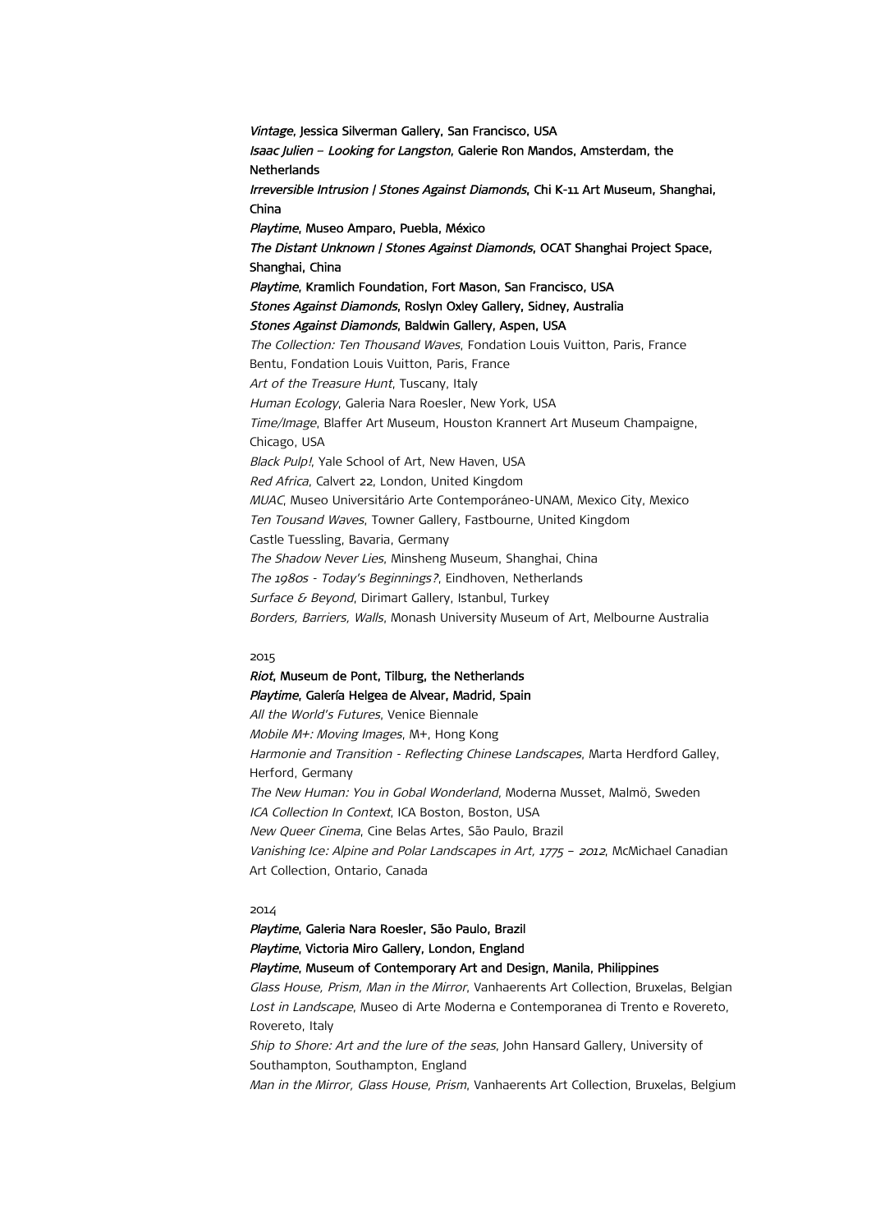Vintage, Jessica Silverman Gallery, San Francisco, USA Isaac Julien – Looking for Langston, Galerie Ron Mandos, Amsterdam, the **Netherlands** Irreversible Intrusion | Stones Against Diamonds, Chi K-11 Art Museum, Shanghai, China Playtime, Museo Amparo, Puebla, México The Distant Unknown / Stones Against Diamonds, OCAT Shanghai Project Space, Shanghai, China Playtime, Kramlich Foundation, Fort Mason, San Francisco, USA Stones Against Diamonds, Roslyn Oxley Gallery, Sidney, Australia Stones Against Diamonds, Baldwin Gallery, Aspen, USA The Collection: Ten Thousand Waves, Fondation Louis Vuitton, Paris, France Bentu, Fondation Louis Vuitton, Paris, France Art of the Treasure Hunt, Tuscany, Italy Human Ecology, Galeria Nara Roesler, New York, USA Time/Image, Blaffer Art Museum, Houston Krannert Art Museum Champaigne, Chicago, USA Black Pulp!, Yale School of Art, New Haven, USA Red Africa, Calvert 22, London, United Kingdom MUAC, Museo Universitário Arte Contemporáneo-UNAM, Mexico City, Mexico Ten Tousand Waves, Towner Gallery, Fastbourne, United Kingdom Castle Tuessling, Bavaria, Germany The Shadow Never Lies, Minsheng Museum, Shanghai, China The 1980s - Today's Beginnings?, Eindhoven, Netherlands Surface & Beyond, Dirimart Gallery, Istanbul, Turkey Borders, Barriers, Walls, Monash University Museum of Art, Melbourne Australia

#### 2015

# Riot, Museum de Pont, Tilburg, the Netherlands Playtime, Galería Helgea de Alvear, Madrid, Spain

All the World's Futures, Venice Biennale Mobile M+: Moving Images, M+, Hong Kong Harmonie and Transition - Reflecting Chinese Landscapes, Marta Herdford Galley, Herford, Germany The New Human: You in Gobal Wonderland, Moderna Musset, Malmö, Sweden ICA Collection In Context, ICA Boston, Boston, USA New Queer Cinema, Cine Belas Artes, São Paulo, Brazil Vanishing Ice: Alpine and Polar Landscapes in Art, 1775 - 2012, McMichael Canadian Art Collection, Ontario, Canada

#### 2014

Playtime, Galeria Nara Roesler, São Paulo, Brazil Playtime, Victoria Miro Gallery, London, England Playtime, Museum of Contemporary Art and Design, Manila, Philippines Glass House, Prism, Man in the Mirror, Vanhaerents Art Collection, Bruxelas, Belgian Lost in Landscape, Museo di Arte Moderna e Contemporanea di Trento e Rovereto, Rovereto, Italy Ship to Shore: Art and the lure of the seas, John Hansard Gallery, University of Southampton, Southampton, England Man in the Mirror, Glass House, Prism, Vanhaerents Art Collection, Bruxelas, Belgium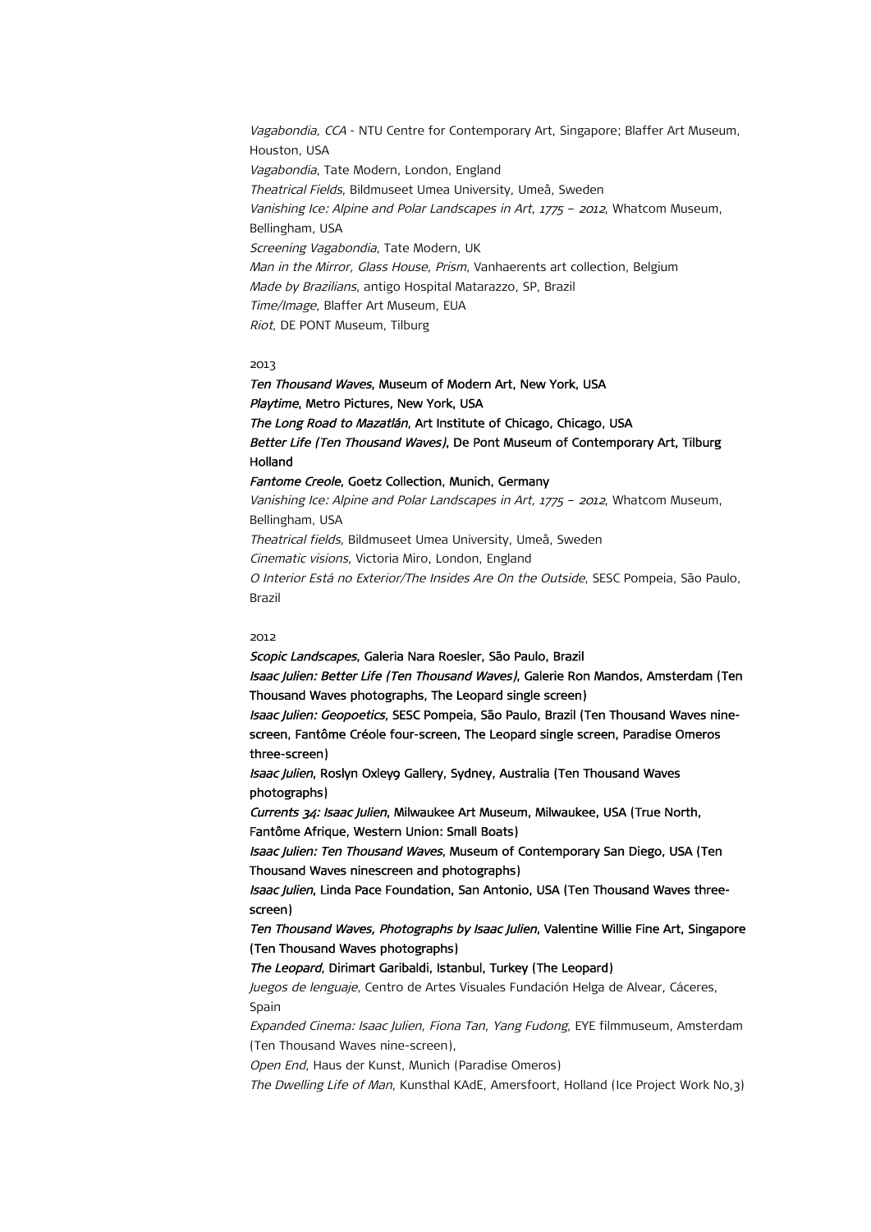Vagabondia, CCA - NTU Centre for Contemporary Art, Singapore; Blaffer Art Museum, Houston, USA Vagabondia, Tate Modern, London, England Theatrical Fields, Bildmuseet Umea University, Umeå, Sweden Vanishing Ice: Alpine and Polar Landscapes in Art, 1775 – <sup>2012</sup>, Whatcom Museum, Bellingham, USA Screening Vagabondia, Tate Modern, UK Man in the Mirror, Glass House, Prism, Vanhaerents art collection, Belgium Made by Brazilians, antigo Hospital Matarazzo, SP, Brazil Time/Image, Blaffer Art Museum, EUA Riot, DE PONT Museum, Tilburg

## 2013

Ten Thousand Waves, Museum of Modern Art, New York, USA Playtime, Metro Pictures, New York, USA The Long Road to Mazatlán, Art Institute of Chicago, Chicago, USA Better Life (Ten Thousand Waves), De Pont Museum of Contemporary Art, Tilburg Holland Fantome Creole, Goetz Collection, Munich, Germany Vanishing Ice: Alpine and Polar Landscapes in Art, 1775 – <sup>2012</sup>, Whatcom Museum, Bellingham, USA Theatrical fields, Bildmuseet Umea University, Umeå, Sweden Cinematic visions, Victoria Miro, London, England O Interior Está no Exterior/The Insides Are On the Outside, SESC Pompeia, São Paulo,

Brazil 2012

Scopic Landscapes, Galeria Nara Roesler, São Paulo, Brazil Isaac Julien: Better Life (Ten Thousand Waves), Galerie Ron Mandos, Amsterdam (Ten Thousand Waves photographs, The Leopard single screen) Isaac Julien: Geopoetics, SESC Pompeia, São Paulo, Brazil (Ten Thousand Waves ninescreen, Fantôme Créole four-screen, The Leopard single screen, Paradise Omeros three-screen) Isaac Julien, Roslyn Oxley9 Gallery, Sydney, Australia (Ten Thousand Waves photographs) Currents 34: Isaac Julien, Milwaukee Art Museum, Milwaukee, USA (True North, Fantôme Afrique, Western Union: Small Boats) Isaac Julien: Ten Thousand Waves, Museum of Contemporary San Diego, USA (Ten Thousand Waves ninescreen and photographs) Isaac Julien, Linda Pace Foundation, San Antonio, USA (Ten Thousand Waves threescreen) Ten Thousand Waves, Photographs by Isaac Julien, Valentine Willie Fine Art, Singapore (Ten Thousand Waves photographs) The Leopard, Dirimart Garibaldi, Istanbul, Turkey (The Leopard) Juegos de lenguaje, Centro de Artes Visuales Fundación Helga de Alvear, Cáceres, Spain Expanded Cinema: Isaac Julien, Fiona Tan, Yang Fudong, EYE filmmuseum, Amsterdam (Ten Thousand Waves nine-screen), Open End, Haus der Kunst, Munich (Paradise Omeros) The Dwelling Life of Man, Kunsthal KAdE, Amersfoort, Holland (Ice Project Work No,3)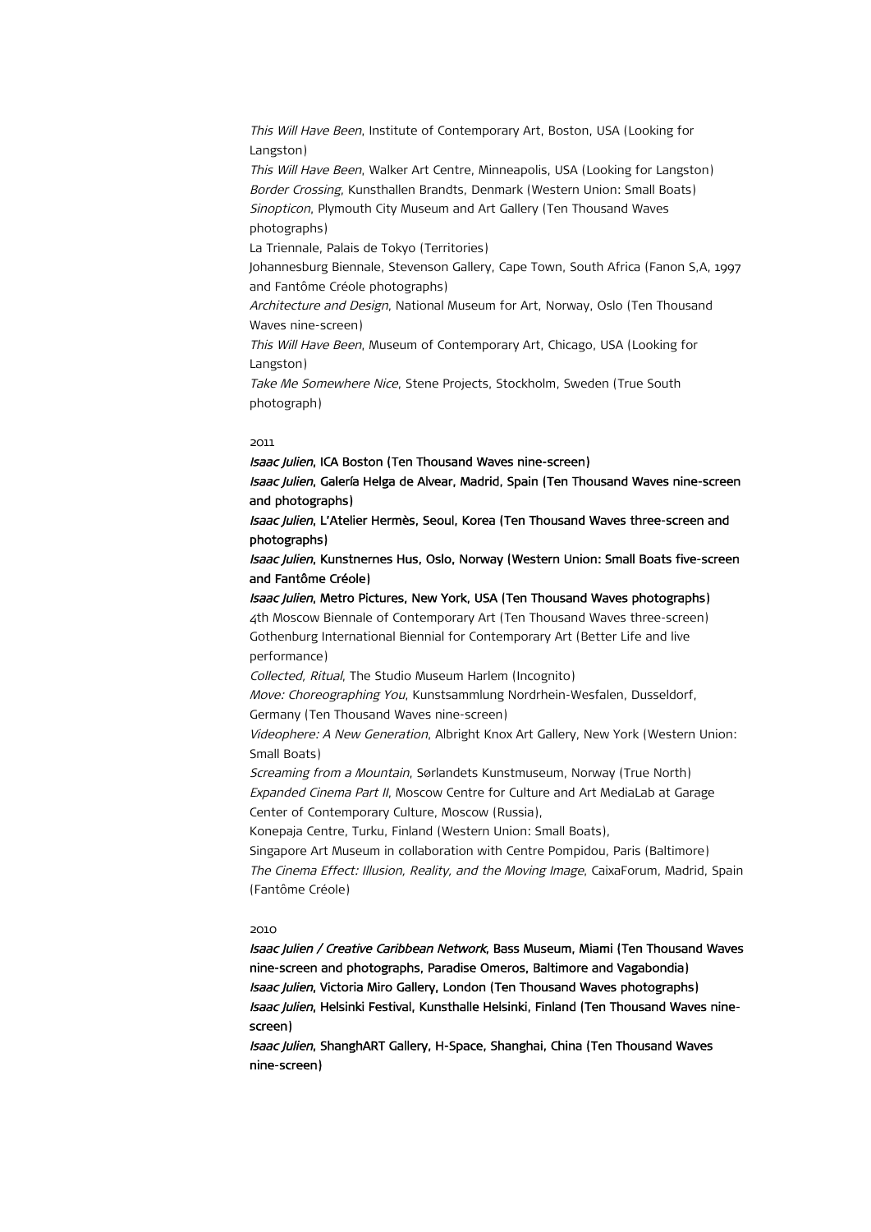This Will Have Been, Institute of Contemporary Art, Boston, USA (Looking for Langston) This Will Have Been, Walker Art Centre, Minneapolis, USA (Looking for Langston) Border Crossing, Kunsthallen Brandts, Denmark (Western Union: Small Boats) Sinopticon, Plymouth City Museum and Art Gallery (Ten Thousand Waves photographs) La Triennale, Palais de Tokyo (Territories) Johannesburg Biennale, Stevenson Gallery, Cape Town, South Africa (Fanon S,A, 1997 and Fantôme Créole photographs) Architecture and Design, National Museum for Art, Norway, Oslo (Ten Thousand Waves nine-screen) This Will Have Been, Museum of Contemporary Art, Chicago, USA (Looking for Langston) Take Me Somewhere Nice, Stene Projects, Stockholm, Sweden (True South photograph)

## 2011

Isaac Julien, ICA Boston (Ten Thousand Waves nine-screen) Isaac Julien, Galería Helga de Alvear, Madrid, Spain (Ten Thousand Waves nine-screen and photographs) Isaac Julien, L'Atelier Hermès, Seoul, Korea (Ten Thousand Waves three-screen and photographs) Isaac Julien, Kunstnernes Hus, Oslo, Norway (Western Union: Small Boats five-screen and Fantôme Créole) Isaac Julien, Metro Pictures, New York, USA (Ten Thousand Waves photographs) 4th Moscow Biennale of Contemporary Art (Ten Thousand Waves three-screen) Gothenburg International Biennial for Contemporary Art (Better Life and live performance) Collected, Ritual, The Studio Museum Harlem (Incognito) Move: Choreographing You, Kunstsammlung Nordrhein-Wesfalen, Dusseldorf, Germany (Ten Thousand Waves nine-screen) Videophere: A New Generation, Albright Knox Art Gallery, New York (Western Union: Small Boats) Screaming from a Mountain, Sørlandets Kunstmuseum, Norway (True North) Expanded Cinema Part II, Moscow Centre for Culture and Art MediaLab at Garage Center of Contemporary Culture, Moscow (Russia), Konepaja Centre, Turku, Finland (Western Union: Small Boats), Singapore Art Museum in collaboration with Centre Pompidou, Paris (Baltimore) The Cinema Effect: Illusion, Reality, and the Moving Image, CaixaForum, Madrid, Spain (Fantôme Créole) 2010

Isaac Julien / Creative Caribbean Network, Bass Museum, Miami (Ten Thousand Waves nine-screen and photographs, Paradise Omeros, Baltimore and Vagabondia) Isaac Julien, Victoria Miro Gallery, London (Ten Thousand Waves photographs) Isaac Julien, Helsinki Festival, Kunsthalle Helsinki, Finland (Ten Thousand Waves ninescreen)

Isaac Julien, ShanghART Gallery, H-Space, Shanghai, China (Ten Thousand Waves nine-screen)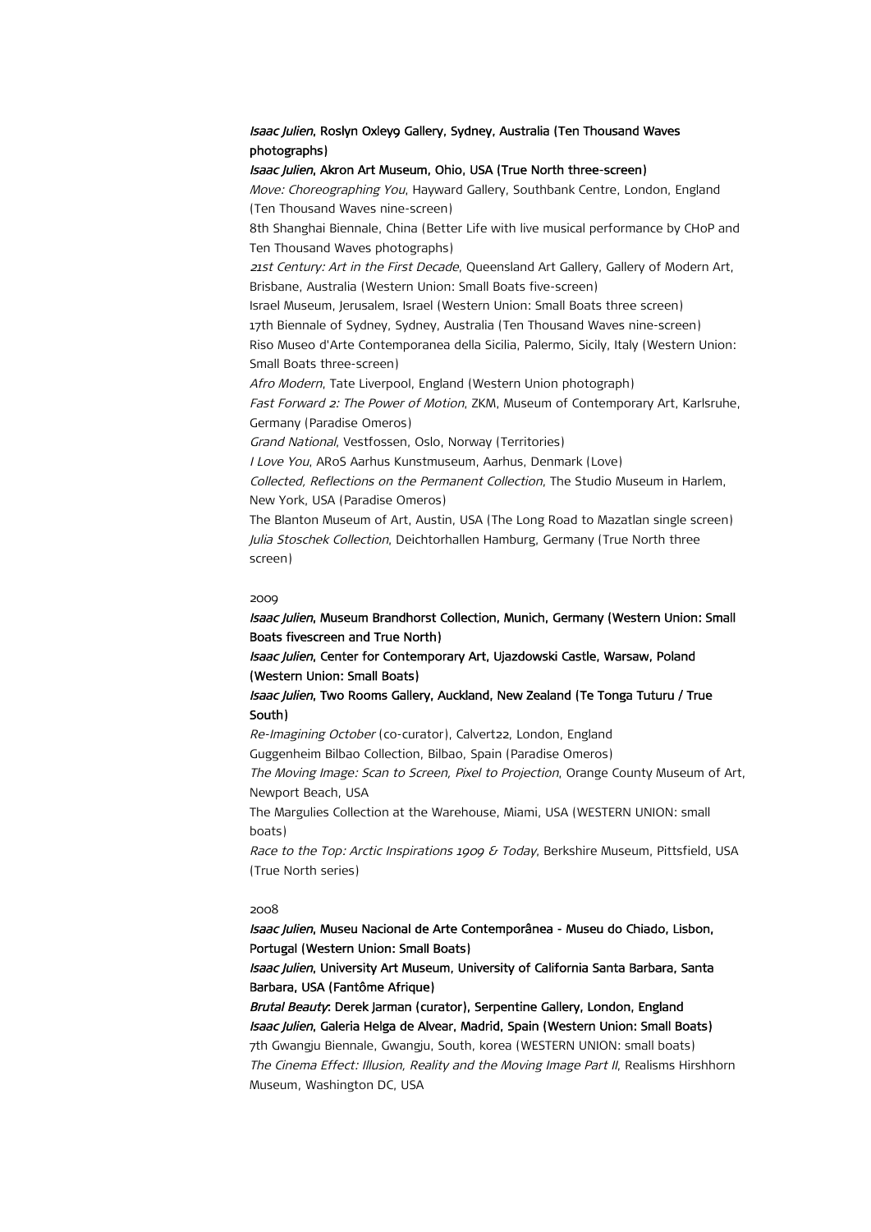# Isaac Julien, Roslyn Oxleyg Gallery, Sydney, Australia (Ten Thousand Waves photographs)

# Isaac Julien, Akron Art Museum, Ohio, USA (True North three-screen)

Move: Choreographing You, Hayward Gallery, Southbank Centre, London, England (Ten Thousand Waves nine-screen) 8th Shanghai Biennale, China (Better Life with live musical performance by CHoP and Ten Thousand Waves photographs) 21st Century: Art in the First Decade, Queensland Art Gallery, Gallery of Modern Art. Brisbane, Australia (Western Union: Small Boats five-screen) Israel Museum, Jerusalem, Israel (Western Union: Small Boats three screen) 17th Biennale of Sydney, Sydney, Australia (Ten Thousand Waves nine-screen) Riso Museo d'Arte Contemporanea della Sicilia, Palermo, Sicily, Italy (Western Union: Small Boats three-screen) Afro Modern, Tate Liverpool, England (Western Union photograph) Fast Forward 2: The Power of Motion, ZKM, Museum of Contemporary Art, Karlsruhe, Germany (Paradise Omeros) Grand National, Vestfossen, Oslo, Norway (Territories) I Love You, ARoS Aarhus Kunstmuseum, Aarhus, Denmark (Love) Collected, Reflections on the Permanent Collection, The Studio Museum in Harlem, New York, USA (Paradise Omeros) The Blanton Museum of Art, Austin, USA (The Long Road to Mazatlan single screen) Julia Stoschek Collection, Deichtorhallen Hamburg, Germany (True North three screen)

#### 2009

Isaac Julien, Museum Brandhorst Collection, Munich, Germany (Western Union: Small Boats fivescreen and True North) Isaac Julien, Center for Contemporary Art, Ujazdowski Castle, Warsaw, Poland (Western Union: Small Boats) Isaac Julien, Two Rooms Gallery, Auckland, New Zealand (Te Tonga Tuturu / True South)

Re-Imagining October (co-curator), Calvert22, London, England Guggenheim Bilbao Collection, Bilbao, Spain (Paradise Omeros)

The Moving Image: Scan to Screen, Pixel to Projection, Orange County Museum of Art, Newport Beach, USA

The Margulies Collection at the Warehouse, Miami, USA (WESTERN UNION: small boats)

Race to the Top: Arctic Inspirations 1909  $\delta$  Today, Berkshire Museum, Pittsfield, USA (True North series)

## 2008

Isaac Julien, Museu Nacional de Arte Contemporânea - Museu do Chiado, Lisbon, Portugal (Western Union: Small Boats)

Isaac Julien, University Art Museum, University of California Santa Barbara, Santa Barbara, USA (Fantôme Afrique)

Brutal Beauty: Derek Jarman (curator), Serpentine Gallery, London, England Isaac Julien, Galeria Helga de Alvear, Madrid, Spain (Western Union: Small Boats) 7th Gwangju Biennale, Gwangju, South, korea (WESTERN UNION: small boats) The Cinema Effect: Illusion, Reality and the Moving Image Part II, Realisms Hirshhorn Museum, Washington DC, USA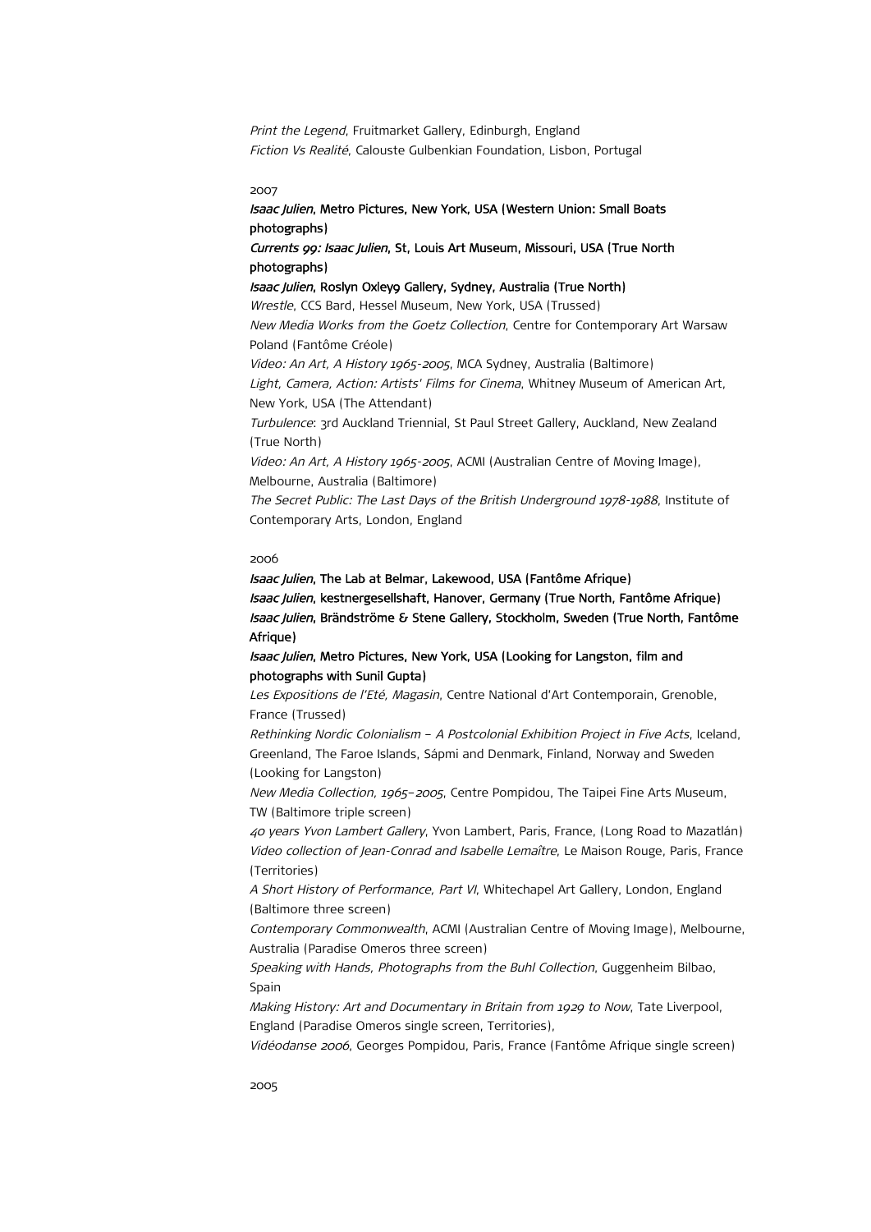Print the Legend, Fruitmarket Gallery, Edinburgh, England Fiction Vs Realité, Calouste Gulbenkian Foundation, Lisbon, Portugal

2007

# Isaac Julien, Metro Pictures, New York, USA (Western Union: Small Boats photographs)

Currents 99: Isaac Julien, St, Louis Art Museum, Missouri, USA (True North photographs)

# Isaac Julien, Roslyn Oxleyg Gallery, Sydney, Australia (True North)

Wrestle, CCS Bard, Hessel Museum, New York, USA (Trussed) New Media Works from the Goetz Collection, Centre for Contemporary Art Warsaw Poland (Fantôme Créole) Video: An Art, A History 1965-2005, MCA Sydney, Australia (Baltimore) Light, Camera, Action: Artists' Films for Cinema, Whitney Museum of American Art, New York, USA (The Attendant) Turbulence: 3rd Auckland Triennial, St Paul Street Gallery, Auckland, New Zealand (True North) Video: An Art, A History 1965-2005, ACMI (Australian Centre of Moving Image), Melbourne, Australia (Baltimore) The Secret Public: The Last Days of the British Underground 1978-1988, Institute of Contemporary Arts, London, England

## 2006

Isaac Julien, The Lab at Belmar, Lakewood, USA (Fantôme Afrique) Isaac Julien, kestnergesellshaft, Hanover, Germany (True North, Fantôme Afrique) Isaac Julien, Brändströme & Stene Gallery, Stockholm, Sweden (True North, Fantôme Afrique)

Isaac Julien, Metro Pictures, New York, USA (Looking for Langston, film and photographs with Sunil Gupta)

Les Expositions de l'Eté, Magasin, Centre National d'Art Contemporain, Grenoble, France (Trussed)

Rethinking Nordic Colonialism – A Postcolonial Exhibition Project in Five Acts, Iceland, Greenland, The Faroe Islands, Sápmi and Denmark, Finland, Norway and Sweden (Looking for Langston)

New Media Collection, 1965–2005, Centre Pompidou, The Taipei Fine Arts Museum, TW (Baltimore triple screen)

40 years Yvon Lambert Gallery, Yvon Lambert, Paris, France, (Long Road to Mazatlán) Video collection of Jean-Conrad and Isabelle Lemaître, Le Maison Rouge, Paris, France (Territories)

A Short History of Performance, Part VI, Whitechapel Art Gallery, London, England (Baltimore three screen)

Contemporary Commonwealth, ACMI (Australian Centre of Moving Image), Melbourne, Australia (Paradise Omeros three screen)

Speaking with Hands, Photographs from the Buhl Collection, Guggenheim Bilbao, Spain

Making History: Art and Documentary in Britain from 1929 to Now, Tate Liverpool, England (Paradise Omeros single screen, Territories),

Vidéodanse 2006, Georges Pompidou, Paris, France (Fantôme Afrique single screen)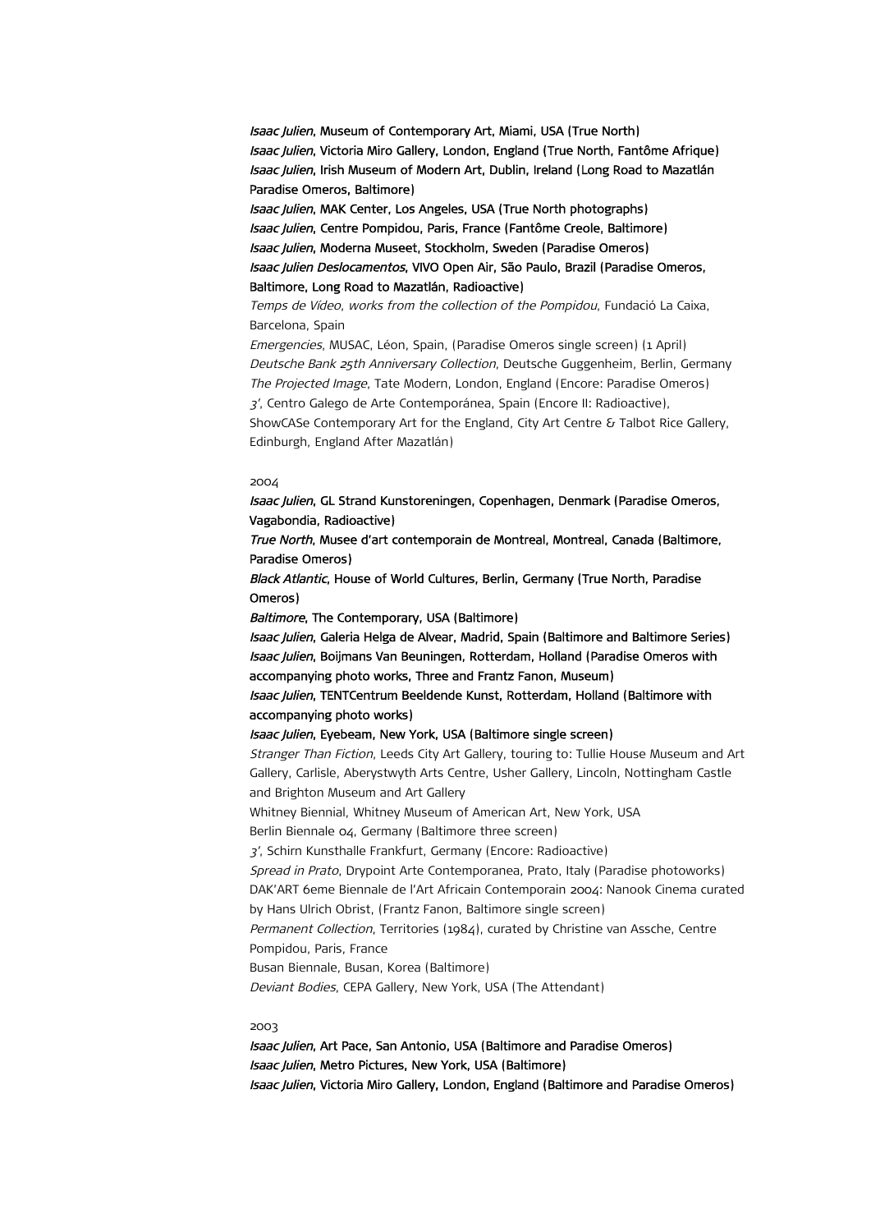Isaac Julien, Museum of Contemporary Art, Miami, USA (True North) Isaac Julien, Victoria Miro Gallery, London, England (True North, Fantôme Afrique) Isaac Julien, Irish Museum of Modern Art, Dublin, Ireland (Long Road to Mazatlán Paradise Omeros, Baltimore)

Isaac Julien, MAK Center, Los Angeles, USA (True North photographs) Isaac Julien, Centre Pompidou, Paris, France (Fantôme Creole, Baltimore) Isaac Julien, Moderna Museet, Stockholm, Sweden (Paradise Omeros) Isaac Julien Deslocamentos, VIVO Open Air, São Paulo, Brazil (Paradise Omeros, Baltimore, Long Road to Mazatlán, Radioactive)

Temps de Vídeo, works from the collection of the Pompidou, Fundació La Caixa, Barcelona, Spain

Emergencies, MUSAC, Léon, Spain, (Paradise Omeros single screen) (1 April) Deutsche Bank 25th Anniversary Collection, Deutsche Guggenheim, Berlin, Germany The Projected Image, Tate Modern, London, England (Encore: Paradise Omeros) 3', Centro Galego de Arte Contemporánea, Spain (Encore II: Radioactive), ShowCASe Contemporary Art for the England, City Art Centre & Talbot Rice Gallery, Edinburgh, England After Mazatlán)

#### 2004

Isaac Julien, GL Strand Kunstoreningen, Copenhagen, Denmark (Paradise Omeros, Vagabondia, Radioactive)

True North, Musee d'art contemporain de Montreal, Montreal, Canada (Baltimore, Paradise Omeros)

Black Atlantic, House of World Cultures, Berlin, Germany (True North, Paradise Omeros)

Baltimore, The Contemporary, USA (Baltimore)

Isaac Julien, Galeria Helga de Alvear, Madrid, Spain (Baltimore and Baltimore Series) Isaac Julien, Boijmans Van Beuningen, Rotterdam, Holland (Paradise Omeros with accompanying photo works, Three and Frantz Fanon, Museum) Isaac Julien, TENTCentrum Beeldende Kunst, Rotterdam, Holland (Baltimore with accompanying photo works)

#### Isaac Julien, Eyebeam, New York, USA (Baltimore single screen)

Stranger Than Fiction, Leeds City Art Gallery, touring to: Tullie House Museum and Art Gallery, Carlisle, Aberystwyth Arts Centre, Usher Gallery, Lincoln, Nottingham Castle and Brighton Museum and Art Gallery

Whitney Biennial, Whitney Museum of American Art, New York, USA Berlin Biennale 04, Germany (Baltimore three screen)

3', Schirn Kunsthalle Frankfurt, Germany (Encore: Radioactive)

Spread in Prato, Drypoint Arte Contemporanea, Prato, Italy (Paradise photoworks) DAK'ART 6eme Biennale de l'Art Africain Contemporain 2004: Nanook Cinema curated by Hans Ulrich Obrist, (Frantz Fanon, Baltimore single screen)

Permanent Collection, Territories (1984), curated by Christine van Assche, Centre Pompidou, Paris, France

Busan Biennale, Busan, Korea (Baltimore)

Deviant Bodies, CEPA Gallery, New York, USA (The Attendant)

#### 2003

Isaac Julien, Art Pace, San Antonio, USA (Baltimore and Paradise Omeros) Isaac Julien, Metro Pictures, New York, USA (Baltimore) Isaac Julien, Victoria Miro Gallery, London, England (Baltimore and Paradise Omeros)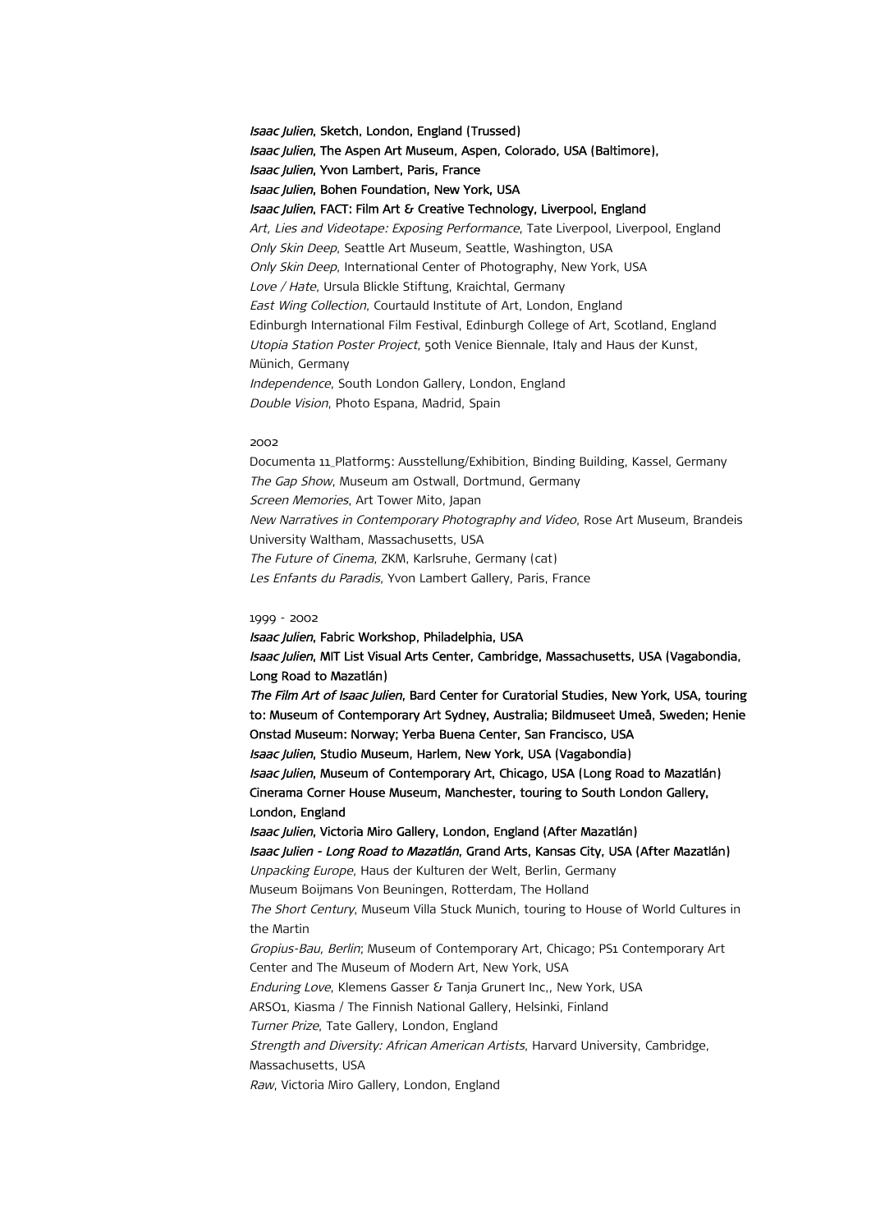Isaac Julien, Sketch, London, England (Trussed) Isaac Julien, The Aspen Art Museum, Aspen, Colorado, USA (Baltimore), Isaac Julien, Yvon Lambert, Paris, France Isaac Julien, Bohen Foundation, New York, USA Isaac Julien, FACT: Film Art & Creative Technology, Liverpool, England Art, Lies and Videotape: Exposing Performance, Tate Liverpool, Liverpool, England Only Skin Deep, Seattle Art Museum, Seattle, Washington, USA Only Skin Deep, International Center of Photography, New York, USA Love / Hate, Ursula Blickle Stiftung, Kraichtal, Germany East Wing Collection, Courtauld Institute of Art, London, England Edinburgh International Film Festival, Edinburgh College of Art, Scotland, England Utopia Station Poster Project, 50th Venice Biennale, Italy and Haus der Kunst, Münich, Germany Independence, South London Gallery, London, England Double Vision, Photo Espana, Madrid, Spain

#### 2002

Documenta 11\_Platform5: Ausstellung/Exhibition, Binding Building, Kassel, Germany The Gap Show, Museum am Ostwall, Dortmund, Germany Screen Memories, Art Tower Mito, Japan New Narratives in Contemporary Photography and Video, Rose Art Museum, Brandeis University Waltham, Massachusetts, USA The Future of Cinema, ZKM, Karlsruhe, Germany (cat) Les Enfants du Paradis, Yvon Lambert Gallery, Paris, France

#### 1999 - 2002

Isaac Julien, Fabric Workshop, Philadelphia, USA Isaac Julien, MIT List Visual Arts Center, Cambridge, Massachusetts, USA (Vagabondia, Long Road to Mazatlán) The Film Art of Isaac Julien, Bard Center for Curatorial Studies, New York, USA, touring to: Museum of Contemporary Art Sydney, Australia; Bildmuseet Umeå, Sweden; Henie Onstad Museum: Norway; Yerba Buena Center, San Francisco, USA Isaac Julien, Studio Museum, Harlem, New York, USA (Vagabondia) Isaac Julien, Museum of Contemporary Art, Chicago, USA (Long Road to Mazatlán) Cinerama Corner House Museum, Manchester, touring to South London Gallery, London, England Isaac Julien, Victoria Miro Gallery, London, England (After Mazatlán) Isaac Julien - Long Road to Mazatlán, Grand Arts, Kansas City, USA (After Mazatlán) Unpacking Europe, Haus der Kulturen der Welt, Berlin, Germany Museum Boijmans Von Beuningen, Rotterdam, The Holland The Short Century, Museum Villa Stuck Munich, touring to House of World Cultures in the Martin Gropius-Bau, Berlin; Museum of Contemporary Art, Chicago; PS1 Contemporary Art Center and The Museum of Modern Art, New York, USA Enduring Love, Klemens Gasser & Tanja Grunert Inc,, New York, USA ARSO1, Kiasma / The Finnish National Gallery, Helsinki, Finland Turner Prize, Tate Gallery, London, England Strength and Diversity: African American Artists, Harvard University, Cambridge, Massachusetts, USA Raw, Victoria Miro Gallery, London, England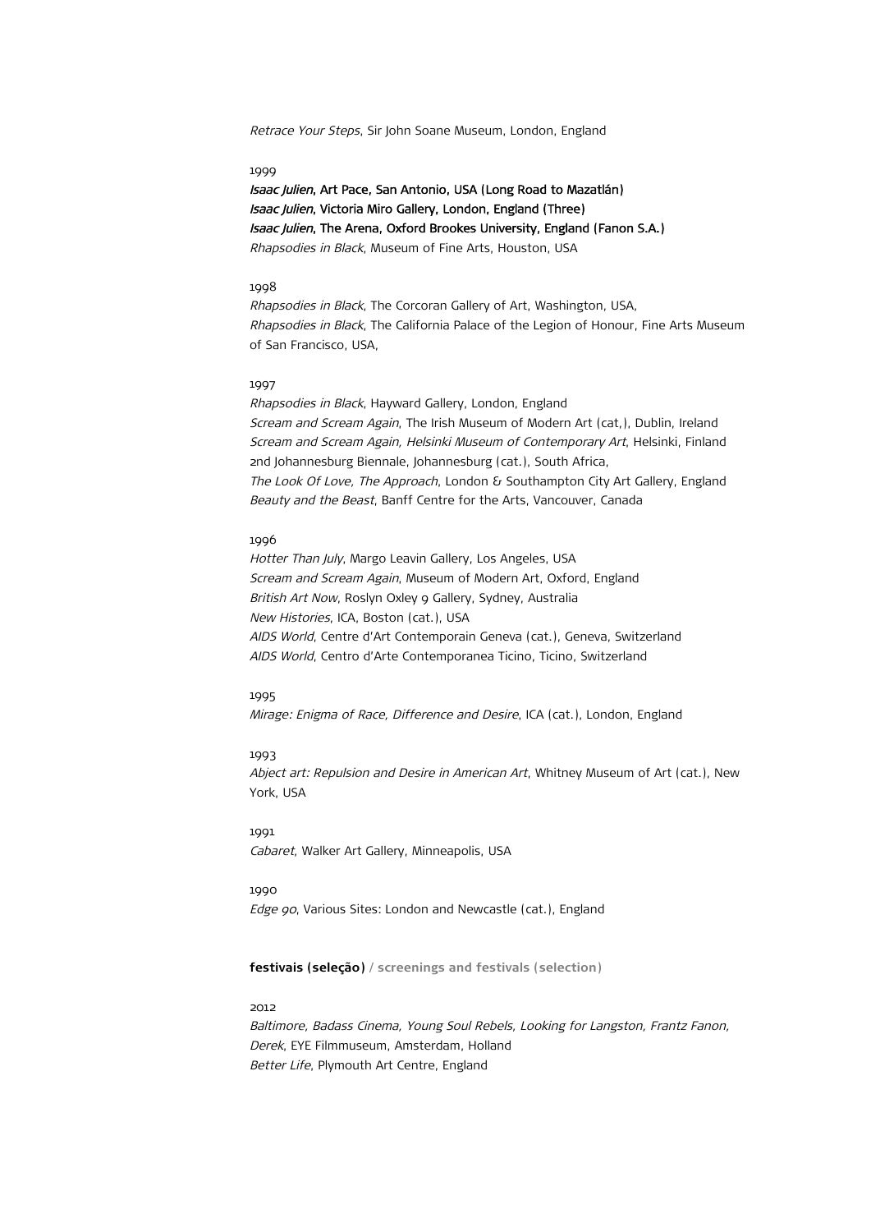Retrace Your Steps, Sir John Soane Museum, London, England

#### 1999

Isaac Julien, Art Pace, San Antonio, USA (Long Road to Mazatlán) Isaac Julien, Victoria Miro Gallery, London, England (Three) Isaac Julien, The Arena, Oxford Brookes University, England (Fanon S.A.) Rhapsodies in Black, Museum of Fine Arts, Houston, USA

#### 1998

Rhapsodies in Black, The Corcoran Gallery of Art, Washington, USA, Rhapsodies in Black, The California Palace of the Legion of Honour, Fine Arts Museum of San Francisco, USA,

#### 1997

Rhapsodies in Black, Hayward Gallery, London, England Scream and Scream Again, The Irish Museum of Modern Art (cat,), Dublin, Ireland Scream and Scream Again, Helsinki Museum of Contemporary Art, Helsinki, Finland 2nd Johannesburg Biennale, Johannesburg (cat.), South Africa, The Look Of Love, The Approach, London & Southampton City Art Gallery, England Beauty and the Beast, Banff Centre for the Arts, Vancouver, Canada

## 1996

Hotter Than July, Margo Leavin Gallery, Los Angeles, USA Scream and Scream Again, Museum of Modern Art, Oxford, England British Art Now, Roslyn Oxley 9 Gallery, Sydney, Australia New Histories, ICA, Boston (cat.), USA AIDS World, Centre d'Art Contemporain Geneva (cat.), Geneva, Switzerland AIDS World, Centro d'Arte Contemporanea Ticino, Ticino, Switzerland

## 1995

Mirage: Enigma of Race, Difference and Desire, ICA (cat.), London, England

#### 1993

Abject art: Repulsion and Desire in American Art, Whitney Museum of Art (cat.), New York, USA

## 1991

Cabaret, Walker Art Gallery, Minneapolis, USA

# 1990

Edge 90, Various Sites: London and Newcastle (cat.), England

## **festivais (seleção) / screenings and festivals (selection)**

## 2012

Baltimore, Badass Cinema, Young Soul Rebels, Looking for Langston, Frantz Fanon, Derek, EYE Filmmuseum, Amsterdam, Holland Better Life, Plymouth Art Centre, England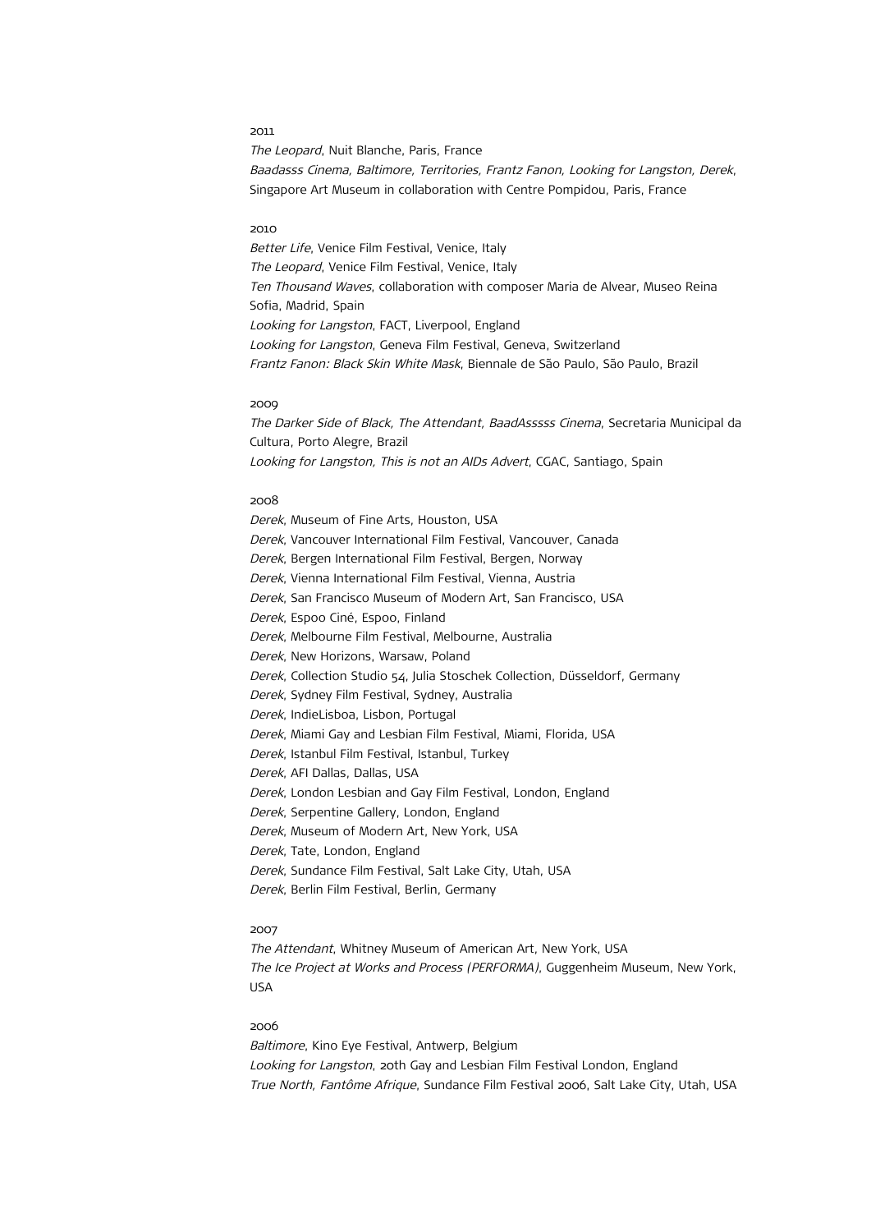The Leopard, Nuit Blanche, Paris, France Baadasss Cinema, Baltimore, Territories, Frantz Fanon, Looking for Langston, Derek, Singapore Art Museum in collaboration with Centre Pompidou, Paris, France

#### 2010

Better Life, Venice Film Festival, Venice, Italy The Leopard, Venice Film Festival, Venice, Italy Ten Thousand Waves, collaboration with composer Maria de Alvear, Museo Reina Sofia, Madrid, Spain Looking for Langston, FACT, Liverpool, England Looking for Langston, Geneva Film Festival, Geneva, Switzerland Frantz Fanon: Black Skin White Mask, Biennale de São Paulo, São Paulo, Brazil

#### 2009

The Darker Side of Black, The Attendant, BaadAsssss Cinema, Secretaria Municipal da Cultura, Porto Alegre, Brazil Looking for Langston, This is not an AIDs Advert, CGAC, Santiago, Spain

## 2008

Derek, Museum of Fine Arts, Houston, USA Derek, Vancouver International Film Festival, Vancouver, Canada Derek, Bergen International Film Festival, Bergen, Norway Derek, Vienna International Film Festival, Vienna, Austria Derek, San Francisco Museum of Modern Art, San Francisco, USA Derek, Espoo Ciné, Espoo, Finland Derek, Melbourne Film Festival, Melbourne, Australia Derek, New Horizons, Warsaw, Poland Derek, Collection Studio 54, Julia Stoschek Collection, Düsseldorf, Germany Derek, Sydney Film Festival, Sydney, Australia Derek, IndieLisboa, Lisbon, Portugal Derek, Miami Gay and Lesbian Film Festival, Miami, Florida, USA Derek, Istanbul Film Festival, Istanbul, Turkey Derek, AFI Dallas, Dallas, USA Derek, London Lesbian and Gay Film Festival, London, England Derek, Serpentine Gallery, London, England Derek, Museum of Modern Art, New York, USA Derek, Tate, London, England Derek, Sundance Film Festival, Salt Lake City, Utah, USA Derek, Berlin Film Festival, Berlin, Germany

#### 2007

The Attendant, Whitney Museum of American Art, New York, USA The Ice Project at Works and Process (PERFORMA), Guggenheim Museum, New York, USA

## 2006

Baltimore, Kino Eye Festival, Antwerp, Belgium Looking for Langston, 20th Gay and Lesbian Film Festival London, England True North, Fantôme Afrique, Sundance Film Festival 2006, Salt Lake City, Utah, USA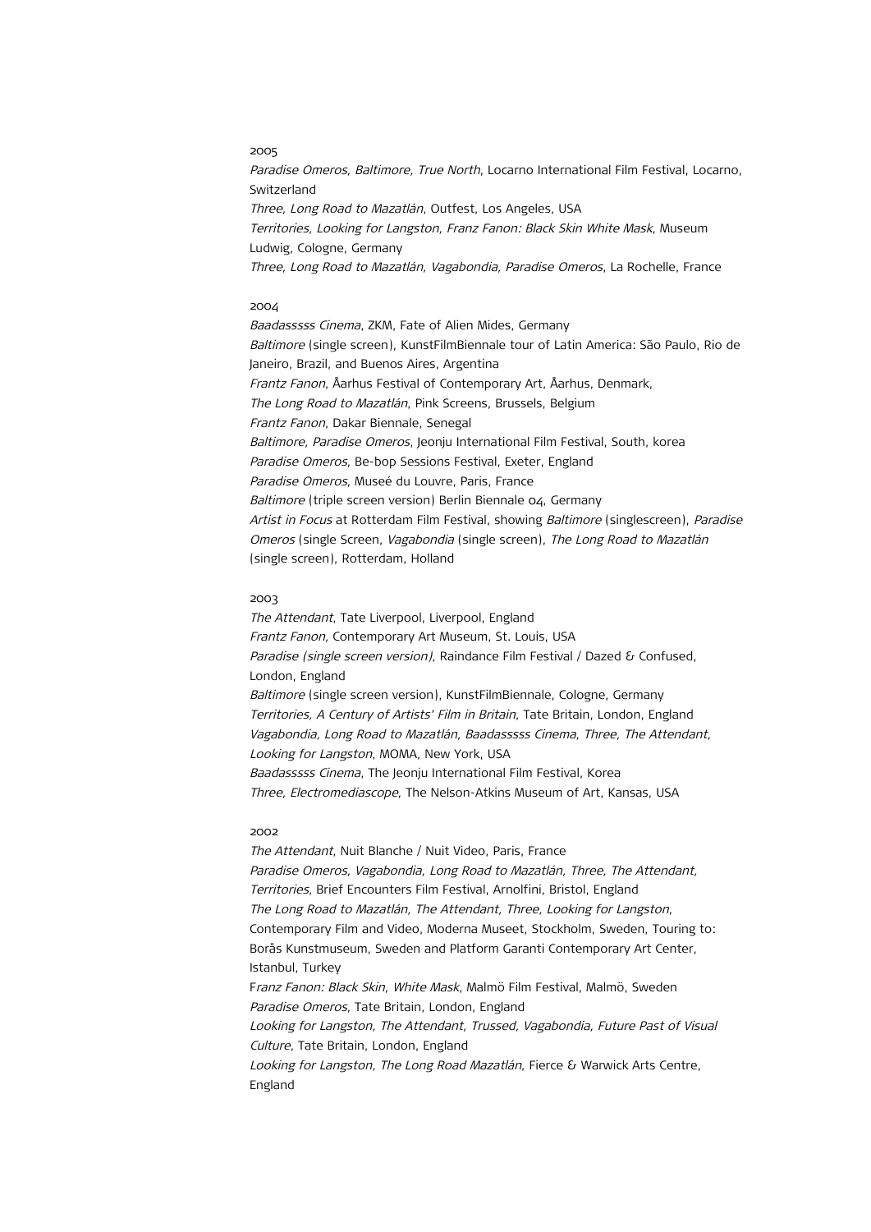Paradise Omeros, Baltimore, True North, Locarno International Film Festival, Locarno, Switzerland Three, Long Road to Mazatlán, Outfest, Los Angeles, USA Territories, Looking for Langston, Franz Fanon: Black Skin White Mask, Museum Ludwig, Cologne, Germany Three, Long Road to Mazatlán, Vagabondia, Paradise Omeros, La Rochelle, France

#### 2004

Baadasssss Cinema, ZKM, Fate of Alien Mides, Germany Baltimore (single screen), KunstFilmBiennale tour of Latin America: São Paulo, Rio de Janeiro, Brazil, and Buenos Aires, Argentina Frantz Fanon, Åarhus Festival of Contemporary Art, Åarhus, Denmark, The Long Road to Mazatlán, Pink Screens, Brussels, Belgium Frantz Fanon, Dakar Biennale, Senegal Baltimore, Paradise Omeros, Jeonju International Film Festival, South, korea Paradise Omeros, Be-bop Sessions Festival, Exeter, England Paradise Omeros, Museé du Louvre, Paris, France Baltimore (triple screen version) Berlin Biennale 04, Germany Artist in Focus at Rotterdam Film Festival, showing Baltimore (singlescreen), Paradise Omeros (single Screen, Vagabondia (single screen), The Long Road to Mazatlán (single screen), Rotterdam, Holland

### 2003

The Attendant, Tate Liverpool, Liverpool, England Frantz Fanon, Contemporary Art Museum, St. Louis, USA Paradise (single screen version), Raindance Film Festival / Dazed & Confused, London, England Baltimore (single screen version), KunstFilmBiennale, Cologne, Germany Territories, A Century of Artists' Film in Britain, Tate Britain, London, England Vagabondia, Long Road to Mazatlán, Baadasssss Cinema, Three, The Attendant, Looking for Langston, MOMA, New York, USA Baadasssss Cinema, The Jeonju International Film Festival, Korea Three, Electromediascope, The Nelson-Atkins Museum of Art, Kansas, USA

#### 2002

The Attendant, Nuit Blanche / Nuit Video, Paris, France Paradise Omeros, Vagabondia, Long Road to Mazatlán, Three, The Attendant, Territories, Brief Encounters Film Festival, Arnolfini, Bristol, England The Long Road to Mazatlán, The Attendant, Three, Looking for Langston, Contemporary Film and Video, Moderna Museet, Stockholm, Sweden, Touring to: Borås Kunstmuseum, Sweden and Platform Garanti Contemporary Art Center, Istanbul, Turkey Franz Fanon: Black Skin, White Mask, Malmö Film Festival, Malmö, Sweden Paradise Omeros, Tate Britain, London, England Looking for Langston, The Attendant, Trussed, Vagabondia, Future Past of Visual Culture, Tate Britain, London, England Looking for Langston, The Long Road Mazatlán, Fierce & Warwick Arts Centre, England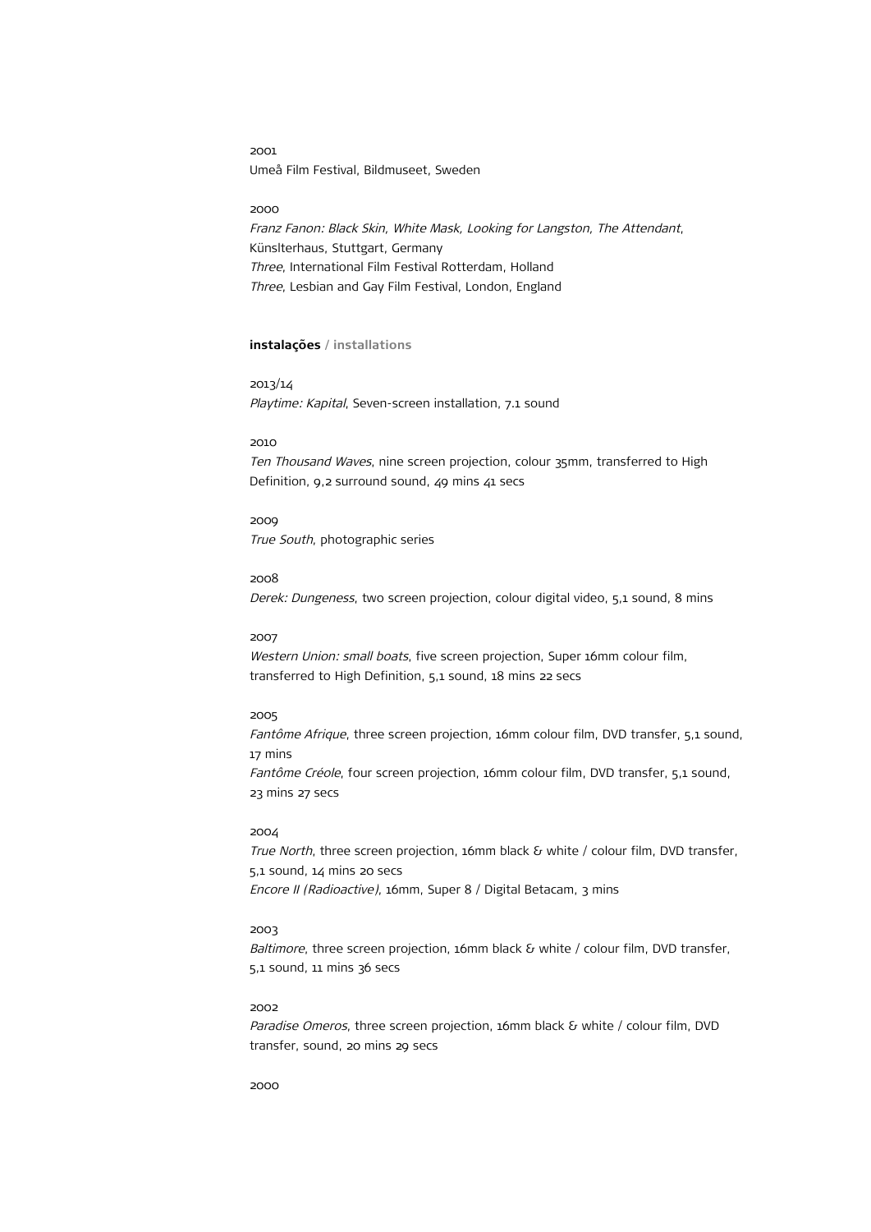2001 Umeå Film Festival, Bildmuseet, Sweden

## 2000

Franz Fanon: Black Skin, White Mask, Looking for Langston, The Attendant, Künslterhaus, Stuttgart, Germany Three, International Film Festival Rotterdam, Holland Three, Lesbian and Gay Film Festival, London, England

# **instalações / installations**

2013/14 Playtime: Kapital, Seven-screen installation, 7.1 sound

### 2010

Ten Thousand Waves, nine screen projection, colour 35mm, transferred to High Definition, 9,2 surround sound, 49 mins 41 secs

2009 True South, photographic series

#### 2008

Derek: Dungeness, two screen projection, colour digital video, 5,1 sound, 8 mins

# 2007

Western Union: small boats, five screen projection, Super 16mm colour film, transferred to High Definition, 5,1 sound, 18 mins 22 secs

# 2005

Fantôme Afrique, three screen projection, 16mm colour film, DVD transfer, 5,1 sound, 17 mins Fantôme Créole, four screen projection, 16mm colour film, DVD transfer, 5,1 sound, 23 mins 27 secs

#### 2004

True North, three screen projection, 16mm black & white / colour film, DVD transfer, 5,1 sound, 14 mins 20 secs Encore II (Radioactive), 16mm, Super 8 / Digital Betacam, 3 mins

# 2003

Baltimore, three screen projection, 16mm black & white / colour film, DVD transfer, 5,1 sound, 11 mins 36 secs

## 2002

Paradise Omeros, three screen projection, 16mm black & white / colour film, DVD transfer, sound, 20 mins 29 secs

2000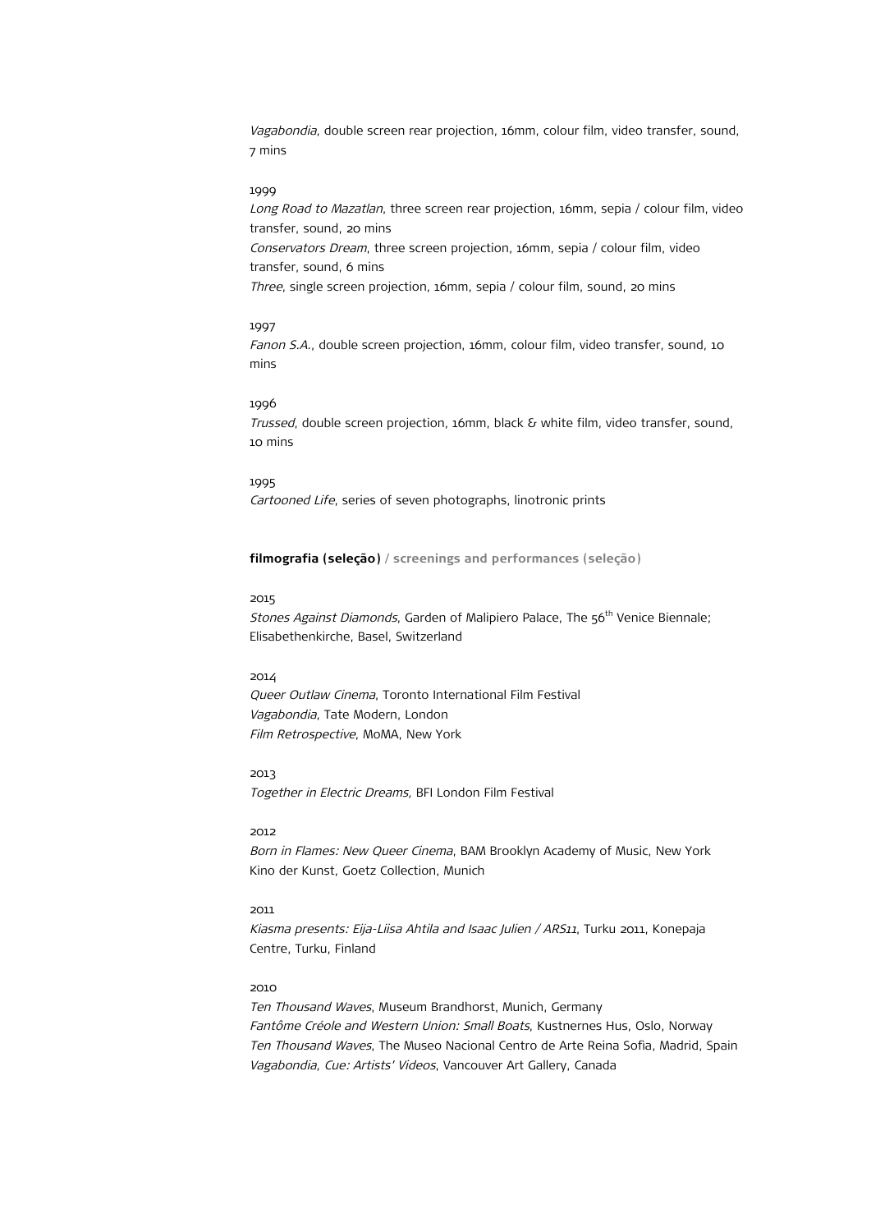Vagabondia, double screen rear projection, 16mm, colour film, video transfer, sound, 7 mins

# 1999

Long Road to Mazatlan, three screen rear projection, 16mm, sepia / colour film, video transfer, sound, 20 mins Conservators Dream, three screen projection, 16mm, sepia / colour film, video transfer, sound, 6 mins Three, single screen projection, 16mm, sepia / colour film, sound, 20 mins

#### 1997

Fanon S.A., double screen projection, 16mm, colour film, video transfer, sound, 10 mins

#### 1996

Trussed, double screen projection, 16mm, black & white film, video transfer, sound, 10 mins

### 1995

Cartooned Life, series of seven photographs, linotronic prints

**filmografia (seleção) / screenings and performances (seleção)**

### 2015

Stones Against Diamonds, Garden of Malipiero Palace, The 56<sup>th</sup> Venice Biennale; Elisabethenkirche, Basel, Switzerland

#### 2014

Queer Outlaw Cinema, Toronto International Film Festival Vagabondia, Tate Modern, London Film Retrospective, MoMA, New York

2013 Together in Electric Dreams, BFI London Film Festival

## 2012

Born in Flames: New Queer Cinema, BAM Brooklyn Academy of Music, New York Kino der Kunst, Goetz Collection, Munich

# 2011

Kiasma presents: Eija-Liisa Ahtila and Isaac Julien / ARS11, Turku 2011, Konepaja Centre, Turku, Finland

# 2010

Ten Thousand Waves, Museum Brandhorst, Munich, Germany Fantôme Créole and Western Union: Small Boats, Kustnernes Hus, Oslo, Norway Ten Thousand Waves, The Museo Nacional Centro de Arte Reina Sofìa, Madrid, Spain Vagabondia, Cue: Artists' Videos, Vancouver Art Gallery, Canada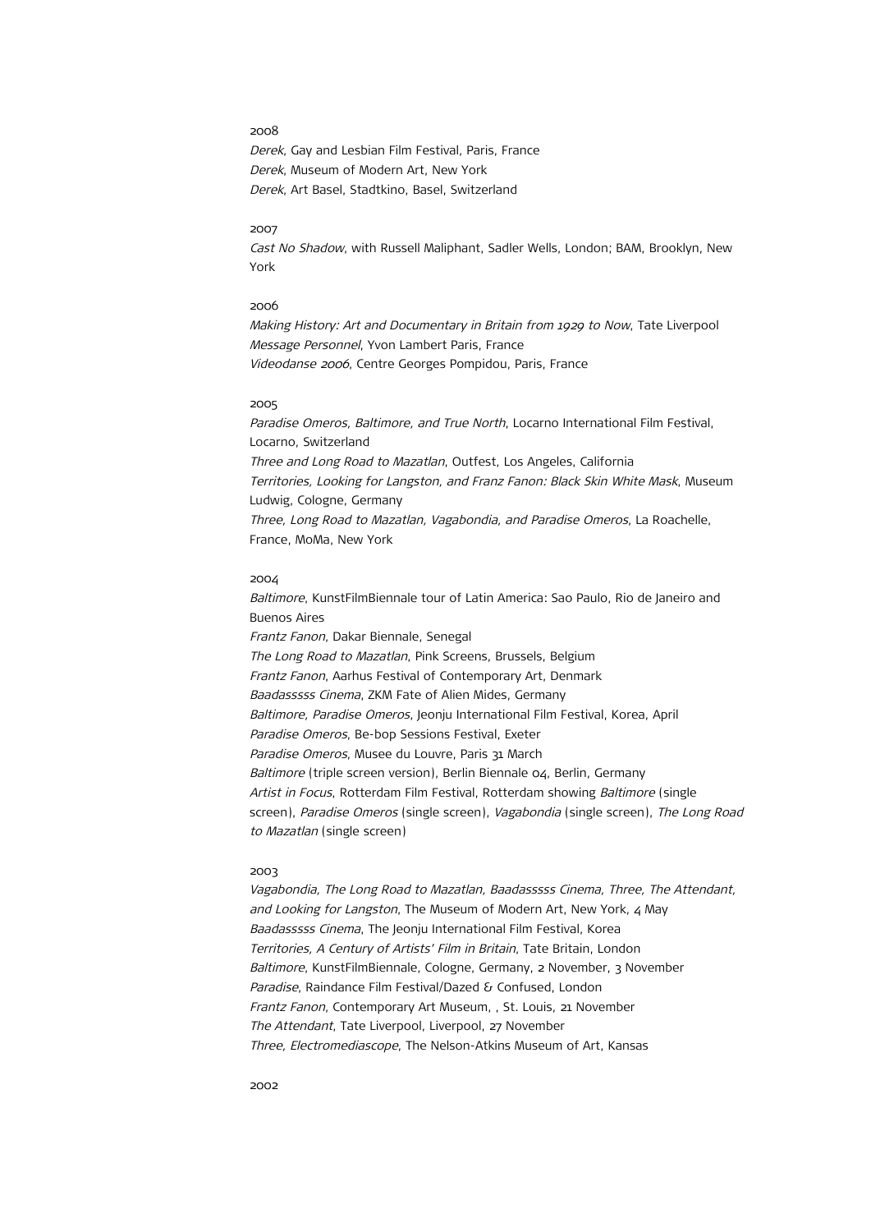Derek, Gay and Lesbian Film Festival, Paris, France Derek, Museum of Modern Art, New York Derek, Art Basel, Stadtkino, Basel, Switzerland

#### 2007

Cast No Shadow, with Russell Maliphant, Sadler Wells, London; BAM, Brooklyn, New York

#### 2006

Making History: Art and Documentary in Britain from 1929 to Now, Tate Liverpool Message Personnel, Yvon Lambert Paris, France Videodanse 2006, Centre Georges Pompidou, Paris, France

## 2005

Paradise Omeros, Baltimore, and True North, Locarno International Film Festival, Locarno, Switzerland Three and Long Road to Mazatlan, Outfest, Los Angeles, California Territories, Looking for Langston, and Franz Fanon: Black Skin White Mask, Museum Ludwig, Cologne, Germany Three, Long Road to Mazatlan, Vagabondia, and Paradise Omeros, La Roachelle, France, MoMa, New York

## 2004

Baltimore, KunstFilmBiennale tour of Latin America: Sao Paulo, Rio de Janeiro and Buenos Aires Frantz Fanon, Dakar Biennale, Senegal The Long Road to Mazatlan, Pink Screens, Brussels, Belgium Frantz Fanon, Aarhus Festival of Contemporary Art, Denmark Baadasssss Cinema, ZKM Fate of Alien Mides, Germany Baltimore, Paradise Omeros, Jeonju International Film Festival, Korea, April Paradise Omeros, Be-bop Sessions Festival, Exeter Paradise Omeros, Musee du Louvre, Paris 31 March Baltimore (triple screen version), Berlin Biennale 04, Berlin, Germany Artist in Focus, Rotterdam Film Festival, Rotterdam showing Baltimore (single screen), Paradise Omeros (single screen), Vagabondia (single screen), The Long Road to Mazatlan (single screen)

#### 2003

Vagabondia, The Long Road to Mazatlan, Baadasssss Cinema, Three, The Attendant, and Looking for Langston, The Museum of Modern Art, New York, 4 May Baadasssss Cinema, The Jeonju International Film Festival, Korea Territories, A Century of Artists' Film in Britain, Tate Britain, London Baltimore, KunstFilmBiennale, Cologne, Germany, 2 November, 3 November Paradise, Raindance Film Festival/Dazed & Confused, London Frantz Fanon, Contemporary Art Museum, , St. Louis, 21 November The Attendant, Tate Liverpool, Liverpool, 27 November Three, Electromediascope, The Nelson-Atkins Museum of Art, Kansas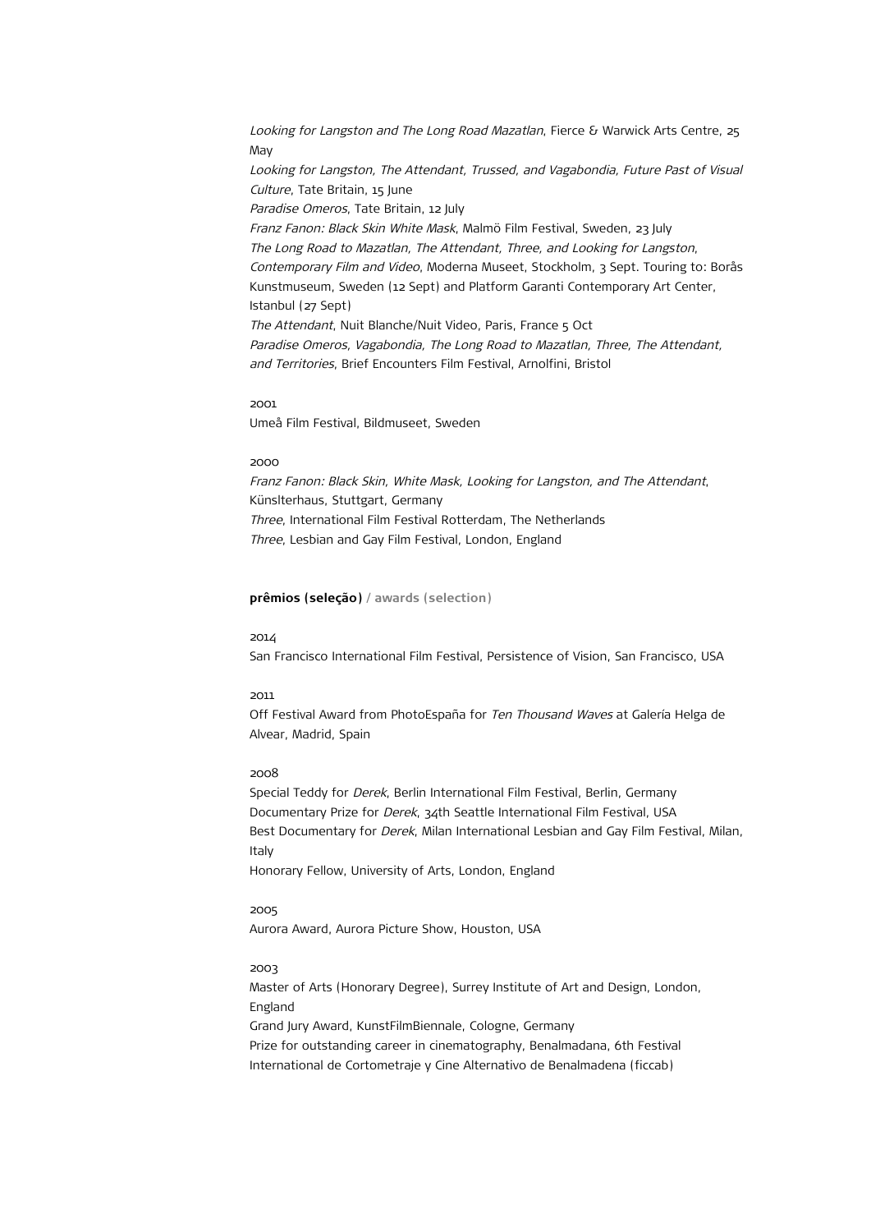Looking for Langston and The Long Road Mazatlan, Fierce & Warwick Arts Centre, 25 May Looking for Langston, The Attendant, Trussed, and Vagabondia, Future Past of Visual Culture, Tate Britain, 15 June Paradise Omeros, Tate Britain, 12 July Franz Fanon: Black Skin White Mask, Malmö Film Festival, Sweden, 23 July The Long Road to Mazatlan, The Attendant, Three, and Looking for Langston, Contemporary Film and Video, Moderna Museet, Stockholm, 3 Sept. Touring to: Borås Kunstmuseum, Sweden (12 Sept) and Platform Garanti Contemporary Art Center, Istanbul (27 Sept) The Attendant, Nuit Blanche/Nuit Video, Paris, France 5 Oct Paradise Omeros, Vagabondia, The Long Road to Mazatlan, Three, The Attendant, and Territories, Brief Encounters Film Festival, Arnolfini, Bristol

#### 2001

Umeå Film Festival, Bildmuseet, Sweden

# 2000

Franz Fanon: Black Skin, White Mask, Looking for Langston, and The Attendant, Künslterhaus, Stuttgart, Germany Three, International Film Festival Rotterdam, The Netherlands Three, Lesbian and Gay Film Festival, London, England

# **prêmios (seleção) / awards (selection)**

### 2014

San Francisco International Film Festival, Persistence of Vision, San Francisco, USA

## 2011

Off Festival Award from PhotoEspaña for Ten Thousand Waves at Galería Helga de Alvear, Madrid, Spain

#### 2008

Special Teddy for Derek, Berlin International Film Festival, Berlin, Germany Documentary Prize for Derek, 34th Seattle International Film Festival, USA Best Documentary for *Derek*, Milan International Lesbian and Gay Film Festival, Milan, Italy Honorary Fellow, University of Arts, London, England

## 2005

Aurora Award, Aurora Picture Show, Houston, USA

# 2003

Master of Arts (Honorary Degree), Surrey Institute of Art and Design, London, England Grand Jury Award, KunstFilmBiennale, Cologne, Germany Prize for outstanding career in cinematography, Benalmadana, 6th Festival International de Cortometraje y Cine Alternativo de Benalmadena (ficcab)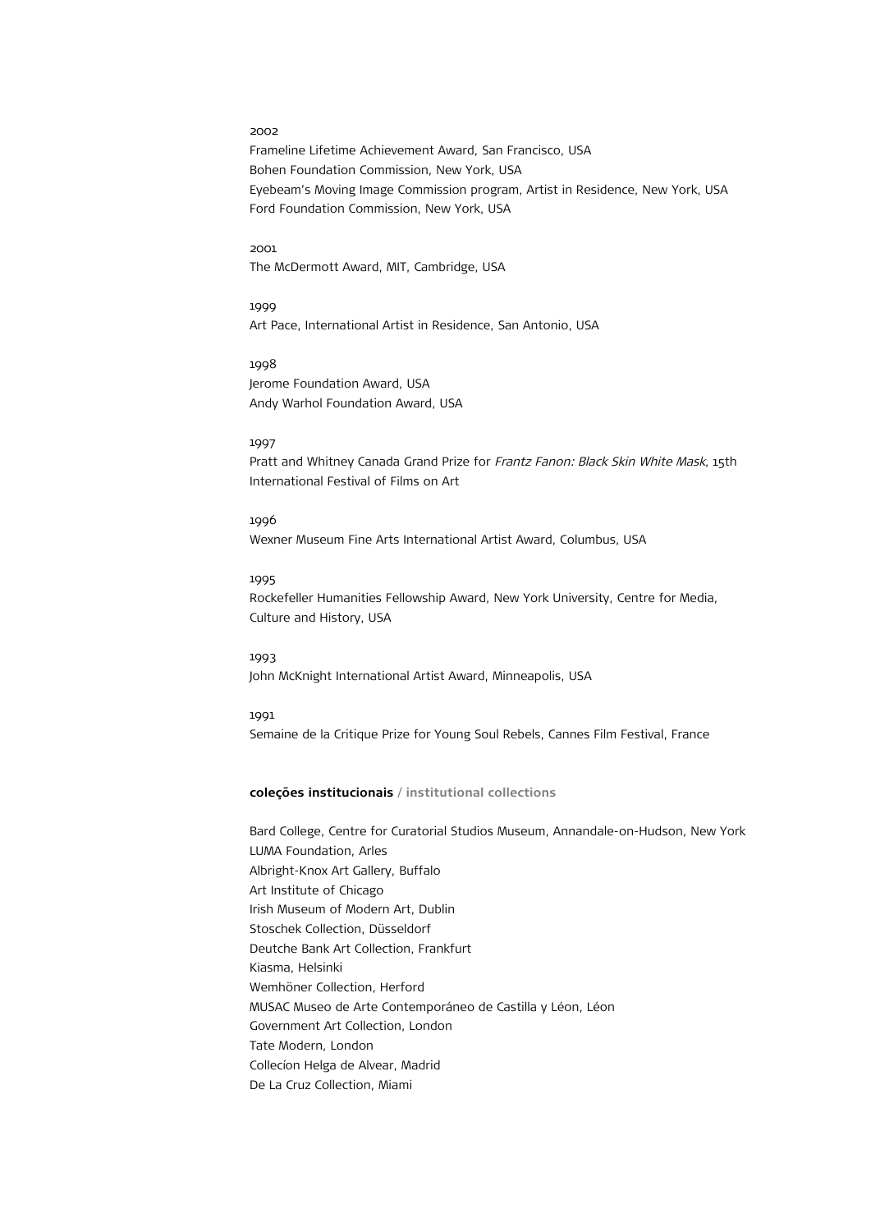Frameline Lifetime Achievement Award, San Francisco, USA Bohen Foundation Commission, New York, USA Eyebeam's Moving Image Commission program, Artist in Residence, New York, USA Ford Foundation Commission, New York, USA

#### 2001

The McDermott Award, MIT, Cambridge, USA

1999 Art Pace, International Artist in Residence, San Antonio, USA

1998 Jerome Foundation Award, USA Andy Warhol Foundation Award, USA

# 1997

Pratt and Whitney Canada Grand Prize for Frantz Fanon: Black Skin White Mask, 15th International Festival of Films on Art

1996 Wexner Museum Fine Arts International Artist Award, Columbus, USA

# 1995

Rockefeller Humanities Fellowship Award, New York University, Centre for Media, Culture and History, USA

1993 John McKnight International Artist Award, Minneapolis, USA

1991 Semaine de la Critique Prize for Young Soul Rebels, Cannes Film Festival, France

# **coleções institucionais / institutional collections**

Bard College, Centre for Curatorial Studios Museum, Annandale-on-Hudson, New York LUMA Foundation, Arles Albright-Knox Art Gallery, Buffalo Art Institute of Chicago Irish Museum of Modern Art, Dublin Stoschek Collection, Düsseldorf Deutche Bank Art Collection, Frankfurt Kiasma, Helsinki Wemhöner Collection, Herford MUSAC Museo de Arte Contemporáneo de Castilla y Léon, Léon Government Art Collection, London Tate Modern, London Collecíon Helga de Alvear, Madrid De La Cruz Collection, Miami